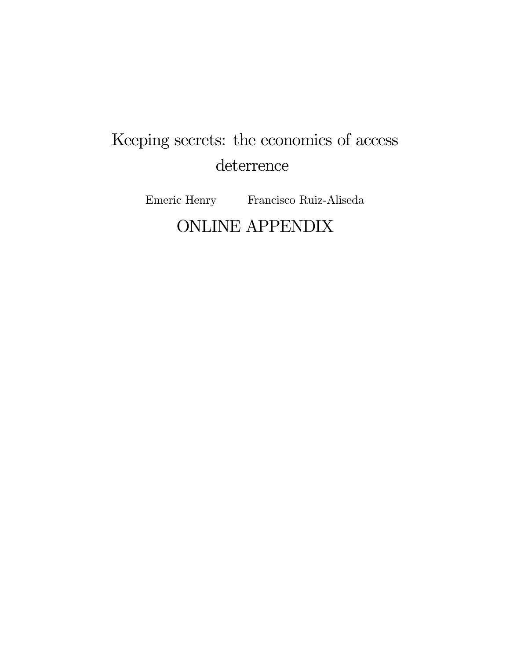# Keeping secrets: the economics of access deterrence

Emeric Henry Francisco Ruiz-Aliseda ONLINE APPENDIX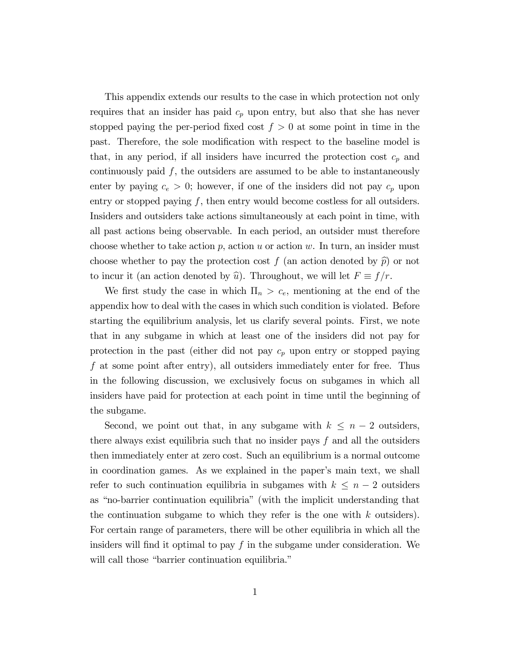This appendix extends our results to the case in which protection not only requires that an insider has paid  $c_p$  upon entry, but also that she has never stopped paying the per-period fixed cost  $f > 0$  at some point in time in the past. Therefore, the sole modification with respect to the baseline model is that, in any period, if all insiders have incurred the protection cost  $c_p$  and continuously paid  $f$ , the outsiders are assumed to be able to instantaneously enter by paying  $c_e > 0$ ; however, if one of the insiders did not pay  $c_p$  upon entry or stopped paying  $f$ , then entry would become costless for all outsiders. Insiders and outsiders take actions simultaneously at each point in time, with all past actions being observable. In each period, an outsider must therefore choose whether to take action  $p$ , action  $u$  or action  $w$ . In turn, an insider must choose whether to pay the protection cost f (an action denoted by  $\hat{p}$ ) or not to incur it (an action denoted by  $\hat{u}$ ). Throughout, we will let  $F \equiv f/r$ .

We first study the case in which  $\Pi_n > c_e$ , mentioning at the end of the appendix how to deal with the cases in which such condition is violated. Before starting the equilibrium analysis, let us clarify several points. First, we note that in any subgame in which at least one of the insiders did not pay for protection in the past (either did not pay  $c_p$  upon entry or stopped paying f at some point after entry), all outsiders immediately enter for free. Thus in the following discussion, we exclusively focus on subgames in which all insiders have paid for protection at each point in time until the beginning of the subgame.

Second, we point out that, in any subgame with  $k \leq n - 2$  outsiders, there always exist equilibria such that no insider pays  $f$  and all the outsiders then immediately enter at zero cost. Such an equilibrium is a normal outcome in coordination games. As we explained in the paper's main text, we shall refer to such continuation equilibria in subgames with  $k \leq n - 2$  outsiders as "no-barrier continuation equilibria" (with the implicit understanding that the continuation subgame to which they refer is the one with  $k$  outsiders). For certain range of parameters, there will be other equilibria in which all the insiders will find it optimal to pay  $f$  in the subgame under consideration. We will call those "barrier continuation equilibria."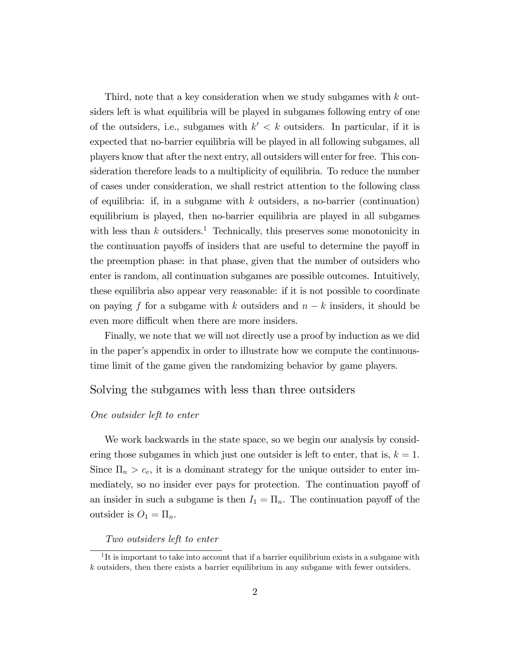Third, note that a key consideration when we study subgames with k outsiders left is what equilibria will be played in subgames following entry of one of the outsiders, i.e., subgames with  $k' < k$  outsiders. In particular, if it is expected that no-barrier equilibria will be played in all following subgames, all players know that after the next entry, all outsiders will enter for free. This consideration therefore leads to a multiplicity of equilibria. To reduce the number of cases under consideration, we shall restrict attention to the following class of equilibria: if, in a subgame with  $k$  outsiders, a no-barrier (continuation) equilibrium is played, then no-barrier equilibria are played in all subgames with less than  $k$  outsiders.<sup>1</sup> Technically, this preserves some monotonicity in the continuation payoffs of insiders that are useful to determine the payoff in the preemption phase: in that phase, given that the number of outsiders who enter is random, all continuation subgames are possible outcomes. Intuitively, these equilibria also appear very reasonable: if it is not possible to coordinate on paying f for a subgame with k outsiders and  $n - k$  insiders, it should be even more difficult when there are more insiders.

Finally, we note that we will not directly use a proof by induction as we did in the paperís appendix in order to illustrate how we compute the continuoustime limit of the game given the randomizing behavior by game players.

## Solving the subgames with less than three outsiders

### One outsider left to enter

We work backwards in the state space, so we begin our analysis by considering those subgames in which just one outsider is left to enter, that is,  $k = 1$ . Since  $\Pi_n > c_e$ , it is a dominant strategy for the unique outsider to enter immediately, so no insider ever pays for protection. The continuation payoff of an insider in such a subgame is then  $I_1 = \Pi_n$ . The continuation payoff of the outsider is  $O_1 = \Pi_n$ .

#### Two outsiders left to enter

<sup>&</sup>lt;sup>1</sup>It is important to take into account that if a barrier equilibrium exists in a subgame with k outsiders, then there exists a barrier equilibrium in any subgame with fewer outsiders.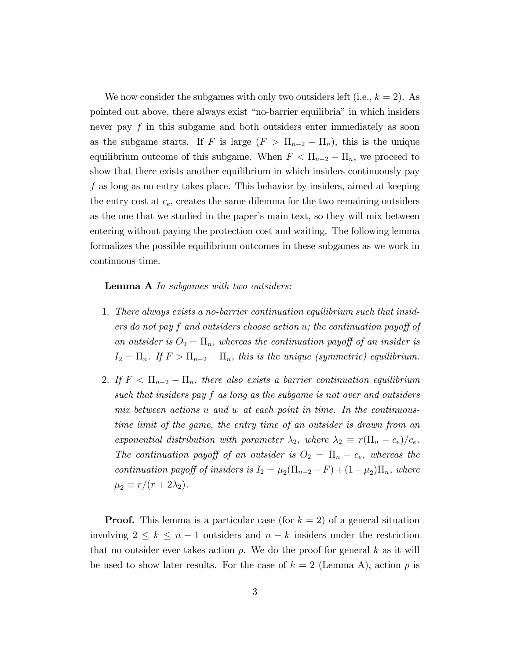We now consider the subgames with only two outsiders left (i.e.,  $k = 2$ ). As pointed out above, there always exist "no-barrier equilibria" in which insiders never pay f in this subgame and both outsiders enter immediately as soon as the subgame starts. If F is large  $(F > \Pi_{n-2} - \Pi_n)$ , this is the unique equilibrium outcome of this subgame. When  $F < \Pi_{n-2} - \Pi_n$ , we proceed to show that there exists another equilibrium in which insiders continuously pay f as long as no entry takes place. This behavior by insiders, aimed at keeping the entry cost at  $c_e$ , creates the same dilemma for the two remaining outsiders as the one that we studied in the paper's main text, so they will mix between entering without paying the protection cost and waiting. The following lemma formalizes the possible equilibrium outcomes in these subgames as we work in continuous time.

Lemma A In subgames with two outsiders:

- 1. There always exists a no-barrier continuation equilibrium such that insiders do not pay f and outsiders choose action  $u$ ; the continuation payoff of an outsider is  $O_2 = \Pi_n$ , whereas the continuation payoff of an insider is  $I_2 = \Pi_n$ . If  $F > \Pi_{n-2} - \Pi_n$ , this is the unique (symmetric) equilibrium.
- 2. If  $F < \Pi_{n-2} \Pi_n$ , there also exists a barrier continuation equilibrium such that insiders pay  $f$  as long as the subgame is not over and outsiders mix between actions u and w at each point in time. In the continuoustime limit of the game, the entry time of an outsider is drawn from an exponential distribution with parameter  $\lambda_2$ , where  $\lambda_2 \equiv r(\Pi_n - c_e)/c_e$ . The continuation payoff of an outsider is  $O_2 = \Pi_n - c_e$ , whereas the continuation payoff of insiders is  $I_2 = \mu_2(\Pi_{n-2} - F) + (1 - \mu_2)\Pi_n$ , where  $\mu_2 \equiv r/(r + 2\lambda_2).$

**Proof.** This lemma is a particular case (for  $k = 2$ ) of a general situation involving  $2 \leq k \leq n - 1$  outsiders and  $n - k$  insiders under the restriction that no outsider ever takes action  $p$ . We do the proof for general k as it will be used to show later results. For the case of  $k = 2$  (Lemma A), action p is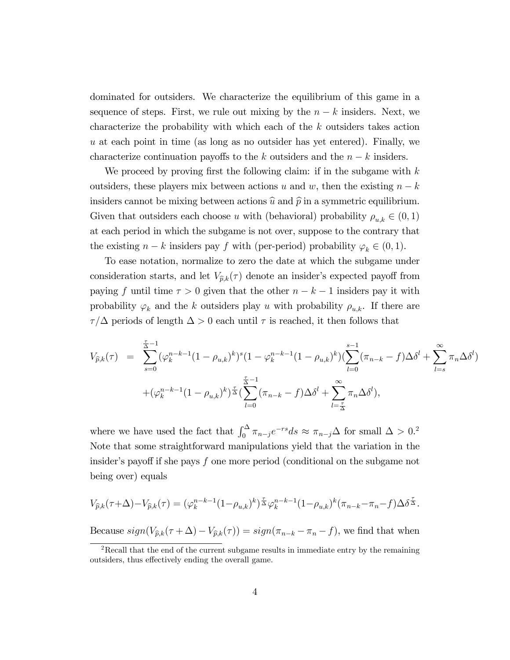dominated for outsiders. We characterize the equilibrium of this game in a sequence of steps. First, we rule out mixing by the  $n - k$  insiders. Next, we characterize the probability with which each of the k outsiders takes action  $u$  at each point in time (as long as no outsider has yet entered). Finally, we characterize continuation payoffs to the k outsiders and the  $n - k$  insiders.

We proceed by proving first the following claim: if in the subgame with  $k$ outsiders, these players mix between actions u and w, then the existing  $n - k$ insiders cannot be mixing between actions  $\hat{u}$  and  $\hat{p}$  in a symmetric equilibrium. Given that outsiders each choose u with (behavioral) probability  $\rho_{u,k} \in (0,1)$ at each period in which the subgame is not over, suppose to the contrary that the existing  $n - k$  insiders pay f with (per-period) probability  $\varphi_k \in (0, 1)$ .

To ease notation, normalize to zero the date at which the subgame under consideration starts, and let  $V_{\hat{p},k}(\tau)$  denote an insider's expected payoff from paying f until time  $\tau > 0$  given that the other  $n - k - 1$  insiders pay it with probability  $\varphi_k$  and the k outsiders play u with probability  $\rho_{u,k}$ . If there are  $\tau/\Delta$  periods of length  $\Delta > 0$  each until  $\tau$  is reached, it then follows that

$$
V_{\hat{p},k}(\tau) = \sum_{s=0}^{\frac{\tau}{\Delta}-1} (\varphi_k^{n-k-1} (1 - \rho_{u,k})^k)^s (1 - \varphi_k^{n-k-1} (1 - \rho_{u,k})^k) (\sum_{l=0}^{s-1} (\pi_{n-k} - f) \Delta \delta^l + \sum_{l=s}^{\infty} \pi_n \Delta \delta^l)
$$
  
+ 
$$
(\varphi_k^{n-k-1} (1 - \rho_{u,k})^k)^{\frac{\tau}{\Delta}} (\sum_{l=0}^{\frac{\tau}{\Delta}-1} (\pi_{n-k} - f) \Delta \delta^l + \sum_{l=\frac{\tau}{\Delta}}^{\infty} \pi_n \Delta \delta^l),
$$

where we have used the fact that  $\int_0^\Delta \pi_{n-j}e^{-rs}ds \approx \pi_{n-j}\Delta$  for small  $\Delta > 0$ .<sup>2</sup> Note that some straightforward manipulations yield that the variation in the insider's payoff if she pays f one more period (conditional on the subgame not being over) equals

$$
V_{\widehat{p},k}(\tau+\Delta)-V_{\widehat{p},k}(\tau)=(\varphi_k^{n-k-1}(1-\rho_{u,k})^k)^{\frac{\tau}{\Delta}}\varphi_k^{n-k-1}(1-\rho_{u,k})^k(\pi_{n-k}-\pi_n-f)\Delta\delta^{\frac{\tau}{\Delta}}.
$$

Because  $sign(V_{\hat{p},k}(\tau + \Delta) - V_{\hat{p},k}(\tau)) = sign(\pi_{n-k} - \pi_n - f)$ , we find that when

<sup>&</sup>lt;sup>2</sup>Recall that the end of the current subgame results in immediate entry by the remaining outsiders, thus effectively ending the overall game.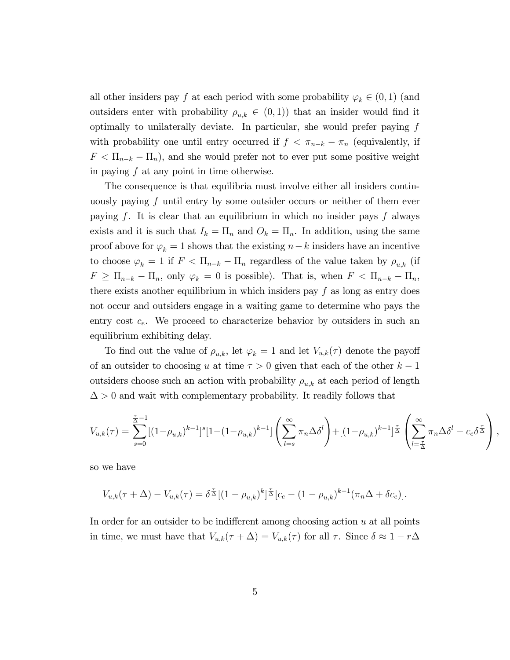all other insiders pay f at each period with some probability  $\varphi_k \in (0,1)$  (and outsiders enter with probability  $\rho_{u,k} \in (0,1)$  that an insider would find it optimally to unilaterally deviate. In particular, she would prefer paying  $f$ with probability one until entry occurred if  $f < \pi_{n-k} - \pi_n$  (equivalently, if  $F < \Pi_{n-k} - \Pi_n$ , and she would prefer not to ever put some positive weight in paying f at any point in time otherwise.

The consequence is that equilibria must involve either all insiders continuously paying  $f$  until entry by some outsider occurs or neither of them ever paying f. It is clear that an equilibrium in which no insider pays f always exists and it is such that  $I_k = \Pi_n$  and  $O_k = \Pi_n$ . In addition, using the same proof above for  $\varphi_k = 1$  shows that the existing  $n-k$  insiders have an incentive to choose  $\varphi_k = 1$  if  $F < \Pi_{n-k} - \Pi_n$  regardless of the value taken by  $\rho_{u,k}$  (if  $F \ge \Pi_{n-k} - \Pi_n$ , only  $\varphi_k = 0$  is possible). That is, when  $F < \Pi_{n-k} - \Pi_n$ , there exists another equilibrium in which insiders pay  $f$  as long as entry does not occur and outsiders engage in a waiting game to determine who pays the entry cost  $c_e$ . We proceed to characterize behavior by outsiders in such an equilibrium exhibiting delay.

To find out the value of  $\rho_{u,k}$ , let  $\varphi_k = 1$  and let  $V_{u,k}(\tau)$  denote the payoff of an outsider to choosing u at time  $\tau > 0$  given that each of the other  $k - 1$ outsiders choose such an action with probability  $\rho_{u,k}$  at each period of length  $\Delta > 0$  and wait with complementary probability. It readily follows that

$$
V_{u,k}(\tau) = \sum_{s=0}^{\frac{\tau}{\Delta}-1}[(1-\rho_{u,k})^{k-1}]^s[1-(1-\rho_{u,k})^{k-1}]\left(\sum_{l=s}^{\infty}\pi_n\Delta\delta^l\right) + [(1-\rho_{u,k})^{k-1}]^{\frac{\tau}{\Delta}}\left(\sum_{l=\frac{\tau}{\Delta}}^{\infty}\pi_n\Delta\delta^l - c_e\delta^{\frac{\tau}{\Delta}}\right),
$$

so we have

$$
V_{u,k}(\tau + \Delta) - V_{u,k}(\tau) = \delta^{\frac{\tau}{\Delta}} [(1 - \rho_{u,k})^k]^{\frac{\tau}{\Delta}} [c_e - (1 - \rho_{u,k})^{k-1} (\pi_n \Delta + \delta c_e)].
$$

In order for an outsider to be indifferent among choosing action  $u$  at all points in time, we must have that  $V_{u,k}(\tau + \Delta) = V_{u,k}(\tau)$  for all  $\tau$ . Since  $\delta \approx 1 - r\Delta$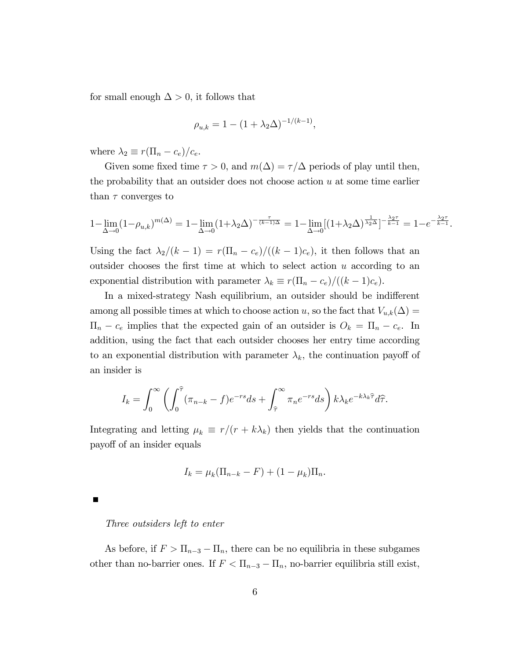for small enough  $\Delta > 0$ , it follows that

$$
\rho_{u,k} = 1 - (1 + \lambda_2 \Delta)^{-1/(k-1)},
$$

where  $\lambda_2 \equiv r(\Pi_n - c_e)/c_e$ .

Given some fixed time  $\tau > 0$ , and  $m(\Delta) = \tau/\Delta$  periods of play until then, the probability that an outsider does not choose action  $u$  at some time earlier than  $\tau$  converges to

$$
1-\lim_{\Delta\to 0}(1-\rho_{u,k})^{m(\Delta)}=1-\lim_{\Delta\to 0}(1+\lambda_2\Delta)^{-\frac{\tau}{(k-1)\Delta}}=1-\lim_{\Delta\to 0}[(1+\lambda_2\Delta)^{\frac{1}{\lambda_2\Delta}}]^{-\frac{\lambda_2\tau}{k-1}}=1-e^{-\frac{\lambda_2\tau}{k-1}}.
$$

Using the fact  $\lambda_2/(k - 1) = r(\Pi_n - c_e)/((k - 1)c_e)$ , it then follows that an outsider chooses the first time at which to select action  $u$  according to an exponential distribution with parameter  $\lambda_k \equiv r(\Pi_n - c_e)/((k - 1)c_e)$ .

In a mixed-strategy Nash equilibrium, an outsider should be indifferent among all possible times at which to choose action u, so the fact that  $V_{u,k}(\Delta) =$  $\Pi_n - c_e$  implies that the expected gain of an outsider is  $O_k = \Pi_n - c_e$ . In addition, using the fact that each outsider chooses her entry time according to an exponential distribution with parameter  $\lambda_k$ , the continuation payoff of an insider is

$$
I_k = \int_0^\infty \left( \int_0^{\widehat{\tau}} (\pi_{n-k} - f) e^{-rs} ds + \int_{\widehat{\tau}}^\infty \pi_n e^{-rs} ds \right) k \lambda_k e^{-k \lambda_k \widehat{\tau}} d\widehat{\tau}.
$$

Integrating and letting  $\mu_k \equiv r/(r + k\lambda_k)$  then yields that the continuation payoff of an insider equals

$$
I_k = \mu_k (\Pi_{n-k} - F) + (1 - \mu_k) \Pi_n.
$$

Three outsiders left to enter

As before, if  $F > \Pi_{n-3} - \Pi_n$ , there can be no equilibria in these subgames other than no-barrier ones. If  $F < \Pi_{n-3} - \Pi_n$ , no-barrier equilibria still exist,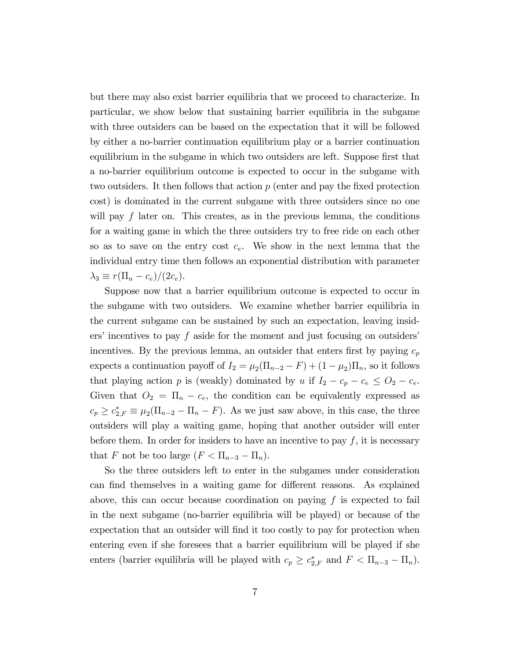but there may also exist barrier equilibria that we proceed to characterize. In particular, we show below that sustaining barrier equilibria in the subgame with three outsiders can be based on the expectation that it will be followed by either a no-barrier continuation equilibrium play or a barrier continuation equilibrium in the subgame in which two outsiders are left. Suppose first that a no-barrier equilibrium outcome is expected to occur in the subgame with two outsiders. It then follows that action  $p$  (enter and pay the fixed protection cost) is dominated in the current subgame with three outsiders since no one will pay  $f$  later on. This creates, as in the previous lemma, the conditions for a waiting game in which the three outsiders try to free ride on each other so as to save on the entry cost  $c_e$ . We show in the next lemma that the individual entry time then follows an exponential distribution with parameter  $\lambda_3 \equiv r(\Pi_n - c_e)/(2c_e).$ 

Suppose now that a barrier equilibrium outcome is expected to occur in the subgame with two outsiders. We examine whether barrier equilibria in the current subgame can be sustained by such an expectation, leaving insiders' incentives to pay f aside for the moment and just focusing on outsiders' incentives. By the previous lemma, an outsider that enters first by paying  $c_p$ expects a continuation payoff of  $I_2 = \mu_2(\Pi_{n-2} - F) + (1 - \mu_2)\Pi_n$ , so it follows that playing action p is (weakly) dominated by u if  $I_2 - c_p - c_e \leq O_2 - c_e$ . Given that  $O_2 = \Pi_n - c_e$ , the condition can be equivalently expressed as  $c_p \geq c_{2,F}^* \equiv \mu_2(\Pi_{n-2} - \Pi_n - F)$ . As we just saw above, in this case, the three outsiders will play a waiting game, hoping that another outsider will enter before them. In order for insiders to have an incentive to pay  $f$ , it is necessary that F not be too large  $(F < \Pi_{n-3} - \Pi_n)$ .

So the three outsiders left to enter in the subgames under consideration can find themselves in a waiting game for different reasons. As explained above, this can occur because coordination on paying  $f$  is expected to fail in the next subgame (no-barrier equilibria will be played) or because of the expectation that an outsider will find it too costly to pay for protection when entering even if she foresees that a barrier equilibrium will be played if she enters (barrier equilibria will be played with  $c_p \geq c_{2,F}^*$  and  $F < \Pi_{n-3} - \Pi_n$ ).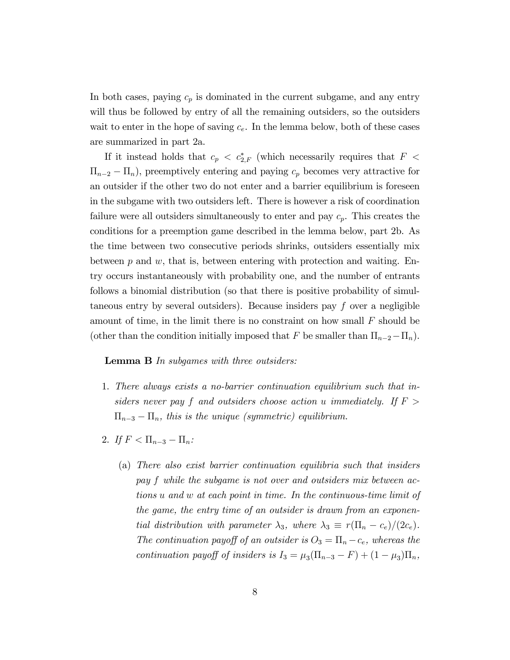In both cases, paying  $c_p$  is dominated in the current subgame, and any entry will thus be followed by entry of all the remaining outsiders, so the outsiders wait to enter in the hope of saving  $c_e$ . In the lemma below, both of these cases are summarized in part 2a.

If it instead holds that  $c_p \, < \, c^*_{2,F}$  (which necessarily requires that  $F \, <$  $\Pi_{n-2} - \Pi_n$ , preemptively entering and paying  $c_p$  becomes very attractive for an outsider if the other two do not enter and a barrier equilibrium is foreseen in the subgame with two outsiders left. There is however a risk of coordination failure were all outsiders simultaneously to enter and pay  $c_p$ . This creates the conditions for a preemption game described in the lemma below, part 2b. As the time between two consecutive periods shrinks, outsiders essentially mix between  $p$  and  $w$ , that is, between entering with protection and waiting. Entry occurs instantaneously with probability one, and the number of entrants follows a binomial distribution (so that there is positive probability of simultaneous entry by several outsiders). Because insiders pay  $f$  over a negligible amount of time, in the limit there is no constraint on how small  $F$  should be (other than the condition initially imposed that F be smaller than  $\Pi_{n-2}-\Pi_n$ ).

#### Lemma B In subgames with three outsiders:

- 1. There always exists a no-barrier continuation equilibrium such that insiders never pay f and outsiders choose action u immediately. If  $F >$  $\Pi_{n-3} - \Pi_n$ , this is the unique (symmetric) equilibrium.
- 2. If  $F < \Pi_{n-3} \Pi_n$ :
	- (a) There also exist barrier continuation equilibria such that insiders pay f while the subgame is not over and outsiders mix between actions u and w at each point in time. In the continuous-time limit of the game, the entry time of an outsider is drawn from an exponential distribution with parameter  $\lambda_3$ , where  $\lambda_3 \equiv r(\Pi_n - c_e)/(2c_e)$ . The continuation payoff of an outsider is  $O_3 = \Pi_n - c_e$ , whereas the continuation payoff of insiders is  $I_3 = \mu_3 (\Pi_{n-3} - F) + (1 - \mu_3) \Pi_n$ ,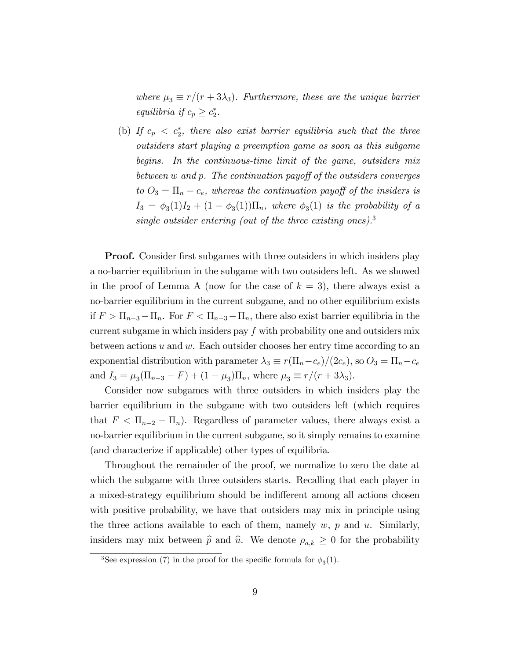where  $\mu_3 \equiv r/(r + 3\lambda_3)$ . Furthermore, these are the unique barrier equilibria if  $c_p \geq c_2^*$ .

(b) If  $c_p < c_2^*$ , there also exist barrier equilibria such that the three outsiders start playing a preemption game as soon as this subgame begins. In the continuous-time limit of the game, outsiders mix between  $w$  and  $p$ . The continuation payoff of the outsiders converges to  $O_3 = \Pi_n - c_e$ , whereas the continuation payoff of the insiders is  $I_3 = \phi_3(1)I_2 + (1 - \phi_3(1))\Pi_n$ , where  $\phi_3(1)$  is the probability of a single outsider entering (out of the three existing ones).<sup>3</sup>

**Proof.** Consider first subgames with three outsiders in which insiders play a no-barrier equilibrium in the subgame with two outsiders left. As we showed in the proof of Lemma A (now for the case of  $k = 3$ ), there always exist a no-barrier equilibrium in the current subgame, and no other equilibrium exists if  $F > \Pi_{n-3} - \Pi_n$ . For  $F < \Pi_{n-3} - \Pi_n$ , there also exist barrier equilibria in the current subgame in which insiders pay f with probability one and outsiders mix between actions  $u$  and  $w$ . Each outsider chooses her entry time according to an exponential distribution with parameter  $\lambda_3 \equiv r(\Pi_n-c_e)/(2c_e)$ , so  $O_3 = \Pi_n-c_e$ and  $I_3 = \mu_3(\Pi_{n-3} - F) + (1 - \mu_3)\Pi_n$ , where  $\mu_3 \equiv r/(r + 3\lambda_3)$ .

Consider now subgames with three outsiders in which insiders play the barrier equilibrium in the subgame with two outsiders left (which requires that  $F < \Pi_{n-2} - \Pi_n$ ). Regardless of parameter values, there always exist a no-barrier equilibrium in the current subgame, so it simply remains to examine (and characterize if applicable) other types of equilibria.

Throughout the remainder of the proof, we normalize to zero the date at which the subgame with three outsiders starts. Recalling that each player in a mixed-strategy equilibrium should be indifferent among all actions chosen with positive probability, we have that outsiders may mix in principle using the three actions available to each of them, namely  $w, p$  and  $u$ . Similarly, insiders may mix between  $\hat{p}$  and  $\hat{u}$ . We denote  $\rho_{a,k} \geq 0$  for the probability

<sup>&</sup>lt;sup>3</sup>See expression (7) in the proof for the specific formula for  $\phi_3(1)$ .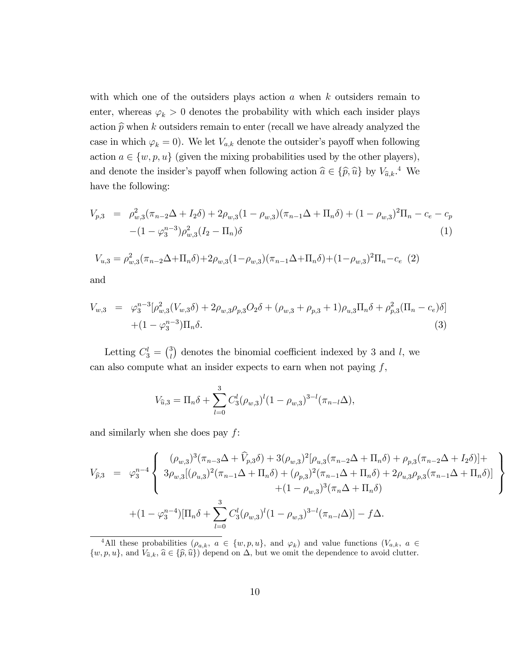with which one of the outsiders plays action  $a$  when  $k$  outsiders remain to enter, whereas  $\varphi_k > 0$  denotes the probability with which each insider plays action  $\widehat{p}$  when k outsiders remain to enter (recall we have already analyzed the case in which  $\varphi_k = 0$ . We let  $V_{a,k}$  denote the outsider's payoff when following action  $a \in \{w, p, u\}$  (given the mixing probabilities used by the other players), and denote the insider's payoff when following action  $\hat{a} \in {\{\hat{p}, \hat{u}\}}$  by  $V_{\hat{a},k}$ <sup>4</sup>. We have the following:

$$
V_{p,3} = \rho_{w,3}^2 (\pi_{n-2}\Delta + I_2\delta) + 2\rho_{w,3}(1 - \rho_{w,3})(\pi_{n-1}\Delta + \Pi_n\delta) + (1 - \rho_{w,3})^2\Pi_n - c_e - c_p
$$
  
-(1 -  $\varphi_3^{n-3})\rho_{w,3}^2(I_2 - \Pi_n)\delta$  (1)

$$
V_{u,3} = \rho_{w,3}^2 (\pi_{n-2}\Delta + \Pi_n \delta) + 2\rho_{w,3} (1 - \rho_{w,3}) (\pi_{n-1}\Delta + \Pi_n \delta) + (1 - \rho_{w,3})^2 \Pi_n - c_e
$$
 (2) and

and

$$
V_{w,3} = \varphi_3^{n-3} [\rho_{w,3}^2 (V_{w,3}\delta) + 2\rho_{w,3}\rho_{p,3}O_2\delta + (\rho_{w,3} + \rho_{p,3} + 1)\rho_{u,3}\Pi_n\delta + \rho_{p,3}^2 (\Pi_n - c_e)\delta]
$$
  
 
$$
+ (1 - \varphi_3^{n-3})\Pi_n\delta.
$$
 (3)

Letting  $C_3^l = \binom{3}{l}$  $\binom{3}{l}$  denotes the binomial coefficient indexed by 3 and l, we can also compute what an insider expects to earn when not paying  $f$ ,

$$
V_{\hat{u},3} = \Pi_n \delta + \sum_{l=0}^3 C_3^l (\rho_{w,3})^l (1 - \rho_{w,3})^{3-l} (\pi_{n-l} \Delta),
$$

and similarly when she does pay  $f$ :

$$
V_{\hat{p},3} = \varphi_3^{n-4} \begin{cases} (\rho_{w,3})^3 (\pi_{n-3} \Delta + \widehat{V}_{p,3} \delta) + 3(\rho_{w,3})^2 [\rho_{u,3} (\pi_{n-2} \Delta + \Pi_n \delta) + \rho_{p,3} (\pi_{n-2} \Delta + I_2 \delta)] + \\ 3 \rho_{w,3} [(\rho_{u,3})^2 (\pi_{n-1} \Delta + \Pi_n \delta) + (\rho_{p,3})^2 (\pi_{n-1} \Delta + \Pi_n \delta) + 2 \rho_{u,3} \rho_{p,3} (\pi_{n-1} \Delta + \Pi_n \delta)] \\ + (1 - \rho_{w,3})^3 (\pi_n \Delta + \Pi_n \delta) \end{cases}
$$
  
+  $(1 - \varphi_3^{n-4}) [\Pi_n \delta + \sum_{l=0}^3 C_3^l (\rho_{w,3})^l (1 - \rho_{w,3})^{3-l} (\pi_{n-l} \Delta)] - f \Delta.$ 

 $\mathbf{A}$  $\left\lfloor \right\rfloor$ 

 $\left| \begin{array}{c} \hline \end{array} \right|$ 

<sup>&</sup>lt;sup>4</sup>All these probabilities  $(\rho_{a,k}, a \in \{w, p, u\}$ , and  $\varphi_k)$  and value functions  $(V_{a,k}, a \in$  $\{w, p, u\}$ , and  $V_{\hat{a},k}$ ,  $\hat{a} \in {\{\hat{p}, \hat{u}\}}$  depend on  $\Delta$ , but we omit the dependence to avoid clutter.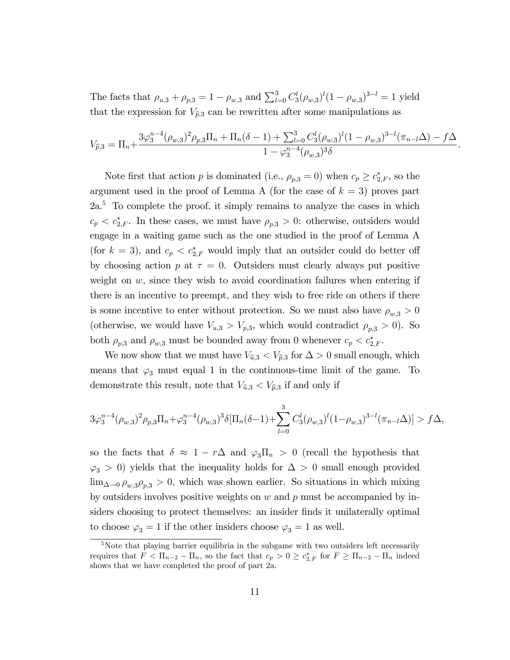The facts that  $\rho_{u,3} + \rho_{p,3} = 1 - \rho_{w,3}$  and  $\sum_{l=0}^{3} C_3^l (\rho_{w,3})^l (1 - \rho_{w,3})^{3-l} = 1$  yield that the expression for  $V_{\hat{p},3}$  can be rewritten after some manipulations as

$$
V_{\hat{p},3} = \Pi_n + \frac{3\varphi_3^{n-4}(\rho_{w,3})^2\rho_{p,3}\Pi_n + \Pi_n(\delta-1) + \sum_{l=0}^3 C_3^l(\rho_{w,3})^l(1-\rho_{w,3})^{3-l}(\pi_{n-l}\Delta) - f\Delta}{1-\varphi_3^{n-4}(\rho_{w,3})^3\delta}.
$$

Note first that action p is dominated (i.e.,  $\rho_{p,3} = 0$ ) when  $c_p \ge c_{2,F}^*$ , so the argument used in the proof of Lemma A (for the case of  $k = 3$ ) proves part  $2a<sup>5</sup>$  To complete the proof, it simply remains to analyze the cases in which  $c_p < c_{2,F}^*$ . In these cases, we must have  $\rho_{p,3} > 0$ : otherwise, outsiders would engage in a waiting game such as the one studied in the proof of Lemma A (for  $k = 3$ ), and  $c_p < c_{2,F}^*$  would imply that an outsider could do better off by choosing action p at  $\tau = 0$ . Outsiders must clearly always put positive weight on  $w$ , since they wish to avoid coordination failures when entering if there is an incentive to preempt, and they wish to free ride on others if there is some incentive to enter without protection. So we must also have  $\rho_{w,3} > 0$ (otherwise, we would have  $V_{u,3} > V_{p,3}$ , which would contradict  $\rho_{p,3} > 0$ ). So both  $\rho_{p,3}$  and  $\rho_{w,3}$  must be bounded away from 0 whenever  $c_p < c_{2,F}^*$ .

We now show that we must have  $V_{\hat{u},3} < V_{\hat{p},3}$  for  $\Delta > 0$  small enough, which means that  $\varphi_3$  must equal 1 in the continuous-time limit of the game. To demonstrate this result, note that  $V_{\hat{u},3} < V_{\hat{p},3}$  if and only if

$$
3\varphi_3^{n-4}(\rho_{w,3})^2\rho_{p,3}\Pi_n+\varphi_3^{n-4}(\rho_{w,3})^3\delta[\Pi_n(\delta-1)+\sum_{l=0}^3C_3^l(\rho_{w,3})^l(1-\rho_{w,3})^{3-l}(\pi_{n-l}\Delta)] > f\Delta,
$$

so the facts that  $\delta \approx 1 - r\Delta$  and  $\varphi_3 \Pi_n > 0$  (recall the hypothesis that  $\varphi_3 > 0$ ) yields that the inequality holds for  $\Delta > 0$  small enough provided  $\lim_{\Delta \to 0} \rho_{w,3} \rho_{p,3} > 0$ , which was shown earlier. So situations in which mixing by outsiders involves positive weights on  $w$  and  $p$  must be accompanied by insiders choosing to protect themselves: an insider Önds it unilaterally optimal to choose  $\varphi_3 = 1$  if the other insiders choose  $\varphi_3 = 1$  as well.

 $5$ Note that playing barrier equilibria in the subgame with two outsiders left necessarily requires that  $F < \Pi_{n-2} - \Pi_n$ , so the fact that  $c_p > 0 \ge c_{2,F}^*$  for  $F \ge \Pi_{n-2} - \Pi_n$  indeed shows that we have completed the proof of part 2a.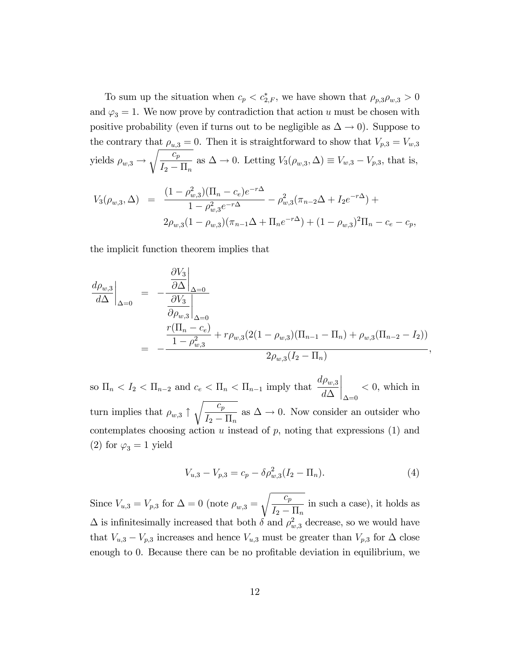To sum up the situation when  $c_p < c_{2,F}^*$ , we have shown that  $\rho_{p,3}\rho_{w,3} > 0$ and  $\varphi_3 = 1$ . We now prove by contradiction that action u must be chosen with positive probability (even if turns out to be negligible as  $\Delta \to 0$ ). Suppose to the contrary that  $\rho_{u,3} = 0$ . Then it is straightforward to show that  $V_{p,3} = V_{w,3}$ yields  $\rho_{w,3} \rightarrow$  $\sqrt{c_p}$  $I_2 - \Pi_n$ as  $\Delta \to 0$ . Letting  $V_3(\rho_{w,3}, \Delta) \equiv V_{w,3} - V_{p,3}$ , that is,

$$
V_3(\rho_{w,3}, \Delta) = \frac{(1 - \rho_{w,3}^2)(\Pi_n - c_e)e^{-r\Delta}}{1 - \rho_{w,3}^2 e^{-r\Delta}} - \rho_{w,3}^2(\pi_{n-2}\Delta + I_2e^{-r\Delta}) + 2\rho_{w,3}(1 - \rho_{w,3})(\pi_{n-1}\Delta + \Pi_n e^{-r\Delta}) + (1 - \rho_{w,3})^2\Pi_n - c_e - c_p,
$$

the implicit function theorem implies that

$$
\frac{d\rho_{w,3}}{d\Delta}\Big|_{\Delta=0} = -\frac{\frac{\partial V_3}{\partial \Delta}\Big|_{\Delta=0}}{\frac{\partial V_3}{\partial \rho_{w,3}}\Big|_{\Delta=0}}\n= -\frac{\frac{r(\Pi_n - c_e)}{1 - \rho_{w,3}^2} + r\rho_{w,3}(2(1 - \rho_{w,3})(\Pi_{n-1} - \Pi_n) + \rho_{w,3}(\Pi_{n-2} - I_2))}{2\rho_{w,3}(I_2 - \Pi_n)},
$$

so  $\Pi_n < I_2 < \Pi_{n-2}$  and  $c_e < \Pi_n < \Pi_{n-1}$  imply that  $d\rho_{w,3}$  $d\Delta$   $\Delta = 0$  $< 0$ , which in turn implies that  $\rho_{w,3} \uparrow$  $\sqrt{c_p}$  $I_2 - \prod_n$ as  $\Delta \to 0$ . Now consider an outsider who contemplates choosing action  $u$  instead of  $p$ , noting that expressions (1) and (2) for  $\varphi_3 = 1$  yield

$$
V_{u,3} - V_{p,3} = c_p - \delta \rho_{w,3}^2 (I_2 - \Pi_n). \tag{4}
$$

Since  $V_{u,3} = V_{p,3}$  for  $\Delta = 0$  (note  $\rho_{w,3} =$  $\sqrt{c_p}$  $I_2 - \prod_n$ in such a case), it holds as  $\Delta$  is infinitesimally increased that both  $\delta$  and  $\rho_{w,3}^2$  decrease, so we would have that  $V_{u,3} - V_{p,3}$  increases and hence  $V_{u,3}$  must be greater than  $V_{p,3}$  for  $\Delta$  close enough to 0. Because there can be no profitable deviation in equilibrium, we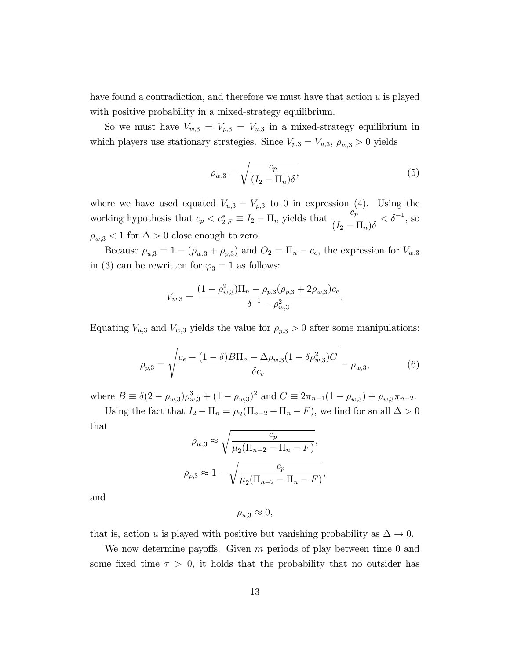have found a contradiction, and therefore we must have that action  $u$  is played with positive probability in a mixed-strategy equilibrium.

So we must have  $V_{w,3} = V_{p,3} = V_{u,3}$  in a mixed-strategy equilibrium in which players use stationary strategies. Since  $V_{p,3} = V_{u,3}, \rho_{w,3} > 0$  yields

$$
\rho_{w,3} = \sqrt{\frac{c_p}{(I_2 - \Pi_n)\delta}},\tag{5}
$$

where we have used equated  $V_{u,3} - V_{p,3}$  to 0 in expression (4). Using the working hypothesis that  $c_p < c_{2,F}^* \equiv I_2 - \Pi_n$  yields that  $\frac{c_p^*}{(I_2 - I_1)}$  $(I_2 - \Pi_n)\delta$  $<\delta^{-1}$ , so  $\rho_{w,3}$  < 1 for  $\Delta > 0$  close enough to zero.

Because  $\rho_{u,3} = 1 - (\rho_{w,3} + \rho_{p,3})$  and  $O_2 = \Pi_n - c_e$ , the expression for  $V_{w,3}$ in (3) can be rewritten for  $\varphi_3 = 1$  as follows:

$$
V_{w,3} = \frac{(1 - \rho_{w,3}^2)\Pi_n - \rho_{p,3}(\rho_{p,3} + 2\rho_{w,3})c_e}{\delta^{-1} - \rho_{w,3}^2}.
$$

Equating  $V_{u,3}$  and  $V_{w,3}$  yields the value for  $\rho_{p,3} > 0$  after some manipulations:

$$
\rho_{p,3} = \sqrt{\frac{c_e - (1 - \delta)B\Pi_n - \Delta\rho_{w,3}(1 - \delta\rho_{w,3}^2)C}{\delta c_e}} - \rho_{w,3},
$$
\n(6)

where  $B \equiv \delta(2 - \rho_{w,3})\rho_{w,3}^3 + (1 - \rho_{w,3})^2$  and  $C \equiv 2\pi_{n-1}(1 - \rho_{w,3}) + \rho_{w,3}\pi_{n-2}$ .

Using the fact that  $I_2 - \Pi_n = \mu_2(\Pi_{n-2} - \Pi_n - F)$ , we find for small  $\Delta > 0$ that

$$
\rho_{w,3} \approx \sqrt{\frac{c_p}{\mu_2(\Pi_{n-2} - \Pi_n - F)}},
$$
  

$$
\rho_{p,3} \approx 1 - \sqrt{\frac{c_p}{\mu_2(\Pi_{n-2} - \Pi_n - F)}},
$$

and

$$
\rho_{u,3} \approx 0,
$$

that is, action u is played with positive but vanishing probability as  $\Delta \to 0$ .

We now determine payoffs. Given  $m$  periods of play between time 0 and some fixed time  $\tau > 0$ , it holds that the probability that no outsider has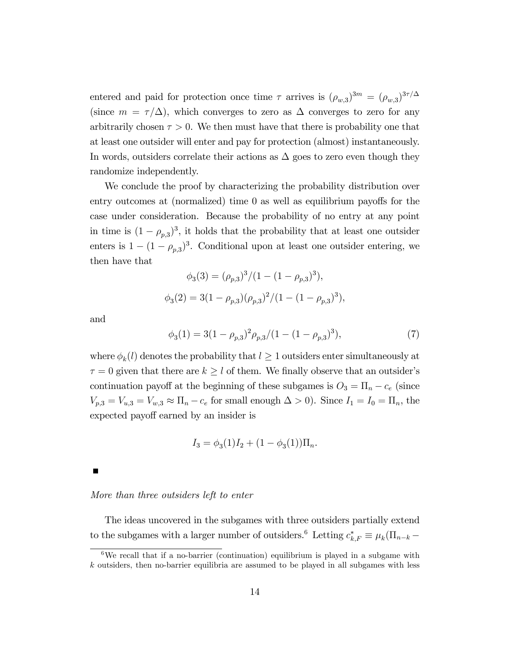entered and paid for protection once time  $\tau$  arrives is  $(\rho_{w,3})^{3m} = (\rho_{w,3})^{3\tau/\Delta}$ (since  $m = \tau/\Delta$ ), which converges to zero as  $\Delta$  converges to zero for any arbitrarily chosen  $\tau > 0$ . We then must have that there is probability one that at least one outsider will enter and pay for protection (almost) instantaneously. In words, outsiders correlate their actions as  $\Delta$  goes to zero even though they randomize independently.

We conclude the proof by characterizing the probability distribution over entry outcomes at (normalized) time  $\theta$  as well as equilibrium payoffs for the case under consideration. Because the probability of no entry at any point in time is  $(1 - \rho_{p,3})^3$ , it holds that the probability that at least one outsider enters is  $1 - (1 - \rho_{p,3})^3$ . Conditional upon at least one outsider entering, we then have that

$$
\phi_3(3) = (\rho_{p,3})^3 / (1 - (1 - \rho_{p,3})^3),
$$
  

$$
\phi_3(2) = 3(1 - \rho_{p,3}) (\rho_{p,3})^2 / (1 - (1 - \rho_{p,3})^3),
$$

and

$$
\phi_3(1) = 3(1 - \rho_{p,3})^2 \rho_{p,3} / (1 - (1 - \rho_{p,3})^3),\tag{7}
$$

where  $\phi_k(l)$  denotes the probability that  $l \geq 1$  outsiders enter simultaneously at  $\tau = 0$  given that there are  $k \geq l$  of them. We finally observe that an outsider's continuation payoff at the beginning of these subgames is  $O_3 = \Pi_n - c_e$  (since  $V_{p,3} = V_{u,3} = V_{w,3} \approx \Pi_n - c_e$  for small enough  $\Delta > 0$ ). Since  $I_1 = I_0 = \Pi_n$ , the expected payoff earned by an insider is

$$
I_3 = \phi_3(1)I_2 + (1 - \phi_3(1))\Pi_n.
$$

## More than three outsiders left to enter

The ideas uncovered in the subgames with three outsiders partially extend to the subgames with a larger number of outsiders.<sup>6</sup> Letting  $c_{k,F}^* \equiv \mu_k(\Pi_{n-k} -$ 

<sup>&</sup>lt;sup>6</sup>We recall that if a no-barrier (continuation) equilibrium is played in a subgame with  $k$  outsiders, then no-barrier equilibria are assumed to be played in all subgames with less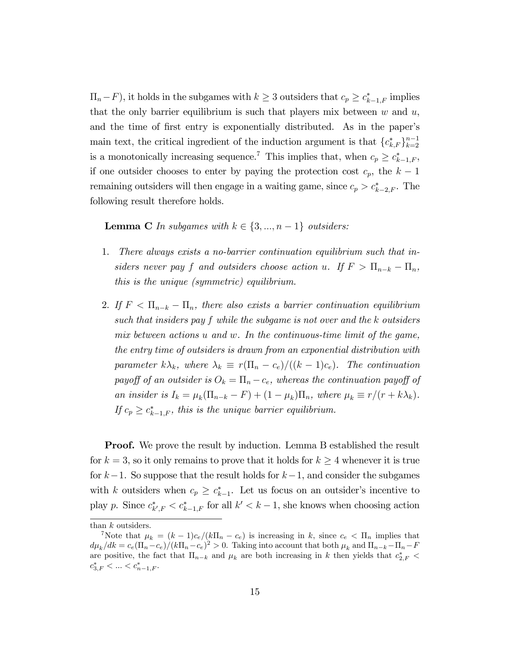$\Pi_n - F$ ), it holds in the subgames with  $k \geq 3$  outsiders that  $c_p \geq c_{k-1,F}^*$  implies that the only barrier equilibrium is such that players mix between  $w$  and  $u$ , and the time of first entry is exponentially distributed. As in the paper's main text, the critical ingredient of the induction argument is that  ${c^*_{k,F}}_{k=2}^{n-1}$ is a monotonically increasing sequence.<sup>7</sup> This implies that, when  $c_p \geq c^*_{k-1,F}$ , if one outsider chooses to enter by paying the protection cost  $c_p$ , the  $k-1$ remaining outsiders will then engage in a waiting game, since  $c_p > c^*_{k-2,F}$ . The following result therefore holds.

**Lemma C** In subgames with  $k \in \{3, ..., n - 1\}$  outsiders:

- 1. There always exists a no-barrier continuation equilibrium such that insiders never pay f and outsiders choose action u. If  $F > \Pi_{n-k} - \Pi_n$ , this is the unique (symmetric) equilibrium.
- 2. If  $F < \Pi_{n-k} \Pi_n$ , there also exists a barrier continuation equilibrium such that insiders pay f while the subgame is not over and the k outsiders mix between actions u and w. In the continuous-time limit of the game, the entry time of outsiders is drawn from an exponential distribution with parameter  $k\lambda_k$ , where  $\lambda_k \equiv r(\Pi_n - c_e)/((k - 1)c_e)$ . The continuation payoff of an outsider is  $O_k = \Pi_n - c_e$ , whereas the continuation payoff of an insider is  $I_k = \mu_k (\Pi_{n-k} - F) + (1 - \mu_k) \Pi_n$ , where  $\mu_k \equiv r/(r + k\lambda_k)$ . If  $c_p \geq c^*_{k-1,F}$ , this is the unique barrier equilibrium.

**Proof.** We prove the result by induction. Lemma B established the result for  $k = 3$ , so it only remains to prove that it holds for  $k \geq 4$  whenever it is true for  $k-1$ . So suppose that the result holds for  $k-1$ , and consider the subgames with k outsiders when  $c_p \geq c_{k-1}^*$ . Let us focus on an outsider's incentive to play p. Since  $c^*_{k',F} < c^*_{k-1,F}$  for all  $k' < k-1$ , she knows when choosing action

than  $k$  outsiders.

<sup>&</sup>lt;sup>7</sup>Note that  $\mu_k = (k-1)c_e/(k\Pi_n - c_e)$  is increasing in k, since  $c_e < \Pi_n$  implies that  $d\mu_k/dk = c_e(\Pi_n - c_e)/(k\Pi_n - c_e)^2 > 0$ . Taking into account that both  $\mu_k$  and  $\Pi_{n-k} - \Pi_n - F_e$ are positive, the fact that  $\Pi_{n-k}$  and  $\mu_k$  are both increasing in k then yields that  $c_{2,F}^*$  <  $c_{3,F}^* < \ldots < c_{n-1,F}^*$ .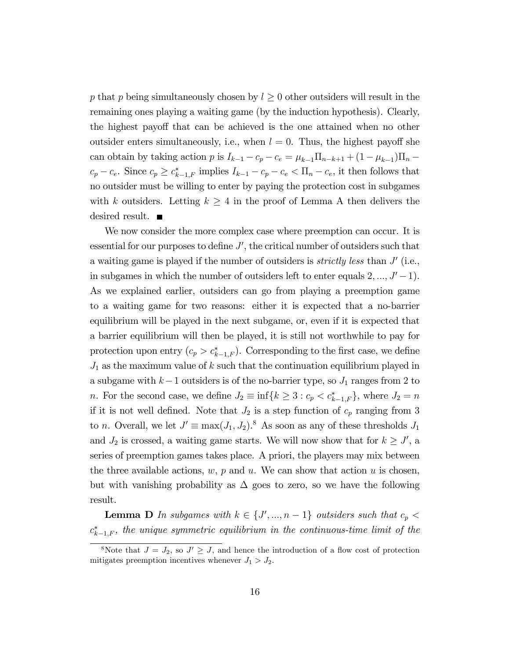p that p being simultaneously chosen by  $l \geq 0$  other outsiders will result in the remaining ones playing a waiting game (by the induction hypothesis). Clearly, the highest payoff that can be achieved is the one attained when no other outsider enters simultaneously, i.e., when  $l = 0$ . Thus, the highest payoff she can obtain by taking action p is  $I_{k-1} - c_p - c_e = \mu_{k-1} \Pi_{n-k+1} + (1 - \mu_{k-1}) \Pi_n$  $c_p - c_e$ . Since  $c_p \geq c_{k-1,F}^*$  implies  $I_{k-1} - c_p - c_e < \Pi_n - c_e$ , it then follows that no outsider must be willing to enter by paying the protection cost in subgames with k outsiders. Letting  $k \geq 4$  in the proof of Lemma A then delivers the desired result. ■

We now consider the more complex case where preemption can occur. It is essential for our purposes to define  $J'$ , the critical number of outsiders such that a waiting game is played if the number of outsiders is *strictly less* than  $J'$  (i.e., in subgames in which the number of outsiders left to enter equals  $2, ..., J' - 1$ . As we explained earlier, outsiders can go from playing a preemption game to a waiting game for two reasons: either it is expected that a no-barrier equilibrium will be played in the next subgame, or, even if it is expected that a barrier equilibrium will then be played, it is still not worthwhile to pay for protection upon entry  $(c_p > c_{k-1,F}^*)$ . Corresponding to the first case, we define  $J_1$  as the maximum value of k such that the continuation equilibrium played in a subgame with  $k-1$  outsiders is of the no-barrier type, so  $J_1$  ranges from 2 to *n*. For the second case, we define  $J_2 \equiv \inf\{k \geq 3 : c_p < c_{k-1,F}^*\}$ , where  $J_2 = n$ if it is not well defined. Note that  $J_2$  is a step function of  $c_p$  ranging from 3 to *n*. Overall, we let  $J' \equiv \max(J_1, J_2)$ .<sup>8</sup> As soon as any of these thresholds  $J_1$ and  $J_2$  is crossed, a waiting game starts. We will now show that for  $k \geq J'$ , a series of preemption games takes place. A priori, the players may mix between the three available actions,  $w, p$  and  $u$ . We can show that action  $u$  is chosen, but with vanishing probability as  $\Delta$  goes to zero, so we have the following result.

**Lemma D** In subgames with  $k \in \{J',...,n-1\}$  outsiders such that  $c_p <$  $c_{k-1,F}^*$ , the unique symmetric equilibrium in the continuous-time limit of the

<sup>&</sup>lt;sup>8</sup>Note that  $J = J_2$ , so  $J' \geq J$ , and hence the introduction of a flow cost of protection mitigates preemption incentives whenever  $J_1 > J_2$ .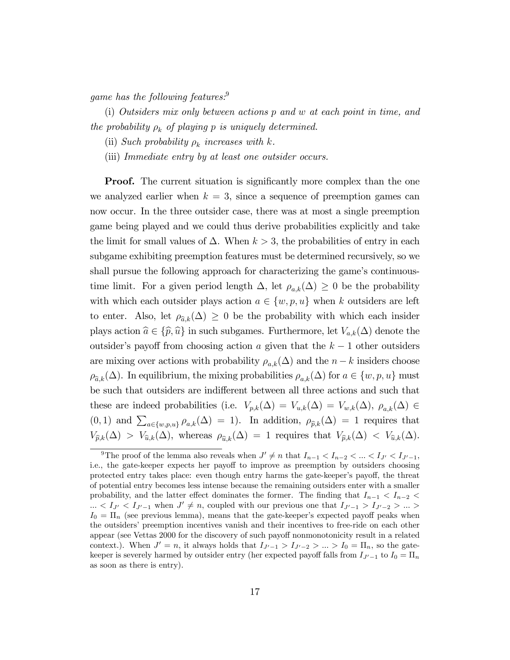game has the following features.<sup>9</sup>

(i) Outsiders mix only between actions p and w at each point in time, and the probability  $\rho_k$  of playing p is uniquely determined.

(ii) Such probability  $\rho_k$  increases with k.

(iii) Immediate entry by at least one outsider occurs.

**Proof.** The current situation is significantly more complex than the one we analyzed earlier when  $k = 3$ , since a sequence of preemption games can now occur. In the three outsider case, there was at most a single preemption game being played and we could thus derive probabilities explicitly and take the limit for small values of  $\Delta$ . When  $k > 3$ , the probabilities of entry in each subgame exhibiting preemption features must be determined recursively, so we shall pursue the following approach for characterizing the game's continuoustime limit. For a given period length  $\Delta$ , let  $\rho_{a,k}(\Delta) \geq 0$  be the probability with which each outsider plays action  $a \in \{w, p, u\}$  when k outsiders are left to enter. Also, let  $\rho_{\hat{a},k}(\Delta) \geq 0$  be the probability with which each insider plays action  $\hat{a} \in {\{\hat{p}, \hat{u}\}}$  in such subgames. Furthermore, let  $V_{a,k}(\Delta)$  denote the outsider's payoff from choosing action a given that the  $k-1$  other outsiders are mixing over actions with probability  $\rho_{a,k}(\Delta)$  and the  $n-k$  insiders choose  $\rho_{\hat{a},k}(\Delta)$ . In equilibrium, the mixing probabilities  $\rho_{a,k}(\Delta)$  for  $a \in \{w, p, u\}$  must be such that outsiders are indifferent between all three actions and such that these are indeed probabilities (i.e.  $V_{p,k}(\Delta) = V_{u,k}(\Delta) = V_{w,k}(\Delta)$ ,  $\rho_{a,k}(\Delta) \in$  $(0,1)$  and  $\sum_{a\in\{w,p,u\}}\rho_{a,k}(\Delta) = 1$ . In addition,  $\rho_{\widehat{p},k}(\Delta) = 1$  requires that  $V_{\widehat{p},k}(\Delta) > V_{\widehat{u},k}(\Delta)$ , whereas  $\rho_{\widehat{u},k}(\Delta) = 1$  requires that  $V_{\widehat{p},k}(\Delta) < V_{\widehat{u},k}(\Delta)$ .

<sup>&</sup>lt;sup>9</sup>The proof of the lemma also reveals when  $J' \neq n$  that  $I_{n-1} < I_{n-2} < ... < I_{J'} < I_{J'-1}$ , i.e., the gate-keeper expects her payoff to improve as preemption by outsiders choosing protected entry takes place: even though entry harms the gate-keeper's payoff, the threat of potential entry becomes less intense because the remaining outsiders enter with a smaller probability, and the latter effect dominates the former. The finding that  $I_{n-1} < I_{n-2}$  $\ldots \langle I_{J'} \langle I_{J'-1} \rangle$  when  $J' \neq n$ , coupled with our previous one that  $I_{J'-1} > I_{J'-2} > \ldots >$  $I_0 = \Pi_n$  (see previous lemma), means that the gate-keeper's expected payoff peaks when the outsiders' preemption incentives vanish and their incentives to free-ride on each other appear (see Vettas 2000 for the discovery of such payoff nonmonotonicity result in a related context.). When  $J' = n$ , it always holds that  $I_{J'-1} > I_{J'-2} > ... > I_0 = \Pi_n$ , so the gatekeeper is severely harmed by outsider entry (her expected payoff falls from  $I_{J-1}$  to  $I_0 = \Pi_n$ as soon as there is entry).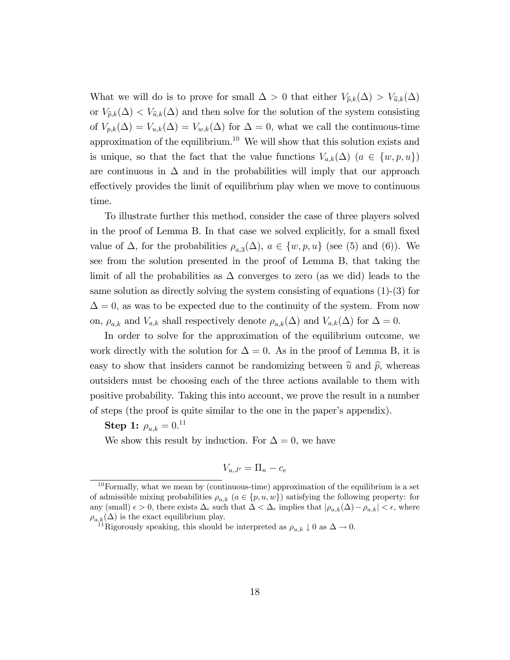What we will do is to prove for small  $\Delta > 0$  that either  $V_{\hat{p},k}(\Delta) > V_{\hat{u},k}(\Delta)$ or  $V_{\hat{p},k}(\Delta) < V_{\hat{u},k}(\Delta)$  and then solve for the solution of the system consisting of  $V_{p,k}(\Delta) = V_{u,k}(\Delta) = V_{w,k}(\Delta)$  for  $\Delta = 0$ , what we call the continuous-time approximation of the equilibrium.<sup>10</sup> We will show that this solution exists and is unique, so that the fact that the value functions  $V_{a,k}(\Delta)$   $(a \in \{w, p, u\})$ are continuous in  $\Delta$  and in the probabilities will imply that our approach effectively provides the limit of equilibrium play when we move to continuous time.

To illustrate further this method, consider the case of three players solved in the proof of Lemma B. In that case we solved explicitly, for a small fixed value of  $\Delta$ , for the probabilities  $\rho_{a,3}(\Delta)$ ,  $a \in \{w, p, u\}$  (see (5) and (6)). We see from the solution presented in the proof of Lemma B, that taking the limit of all the probabilities as  $\Delta$  converges to zero (as we did) leads to the same solution as directly solving the system consisting of equations (1)-(3) for  $\Delta = 0$ , as was to be expected due to the continuity of the system. From now on,  $\rho_{a,k}$  and  $V_{a,k}$  shall respectively denote  $\rho_{a,k}(\Delta)$  and  $V_{a,k}(\Delta)$  for  $\Delta = 0$ .

In order to solve for the approximation of the equilibrium outcome, we work directly with the solution for  $\Delta = 0$ . As in the proof of Lemma B, it is easy to show that insiders cannot be randomizing between  $\hat{u}$  and  $\hat{p}$ , whereas outsiders must be choosing each of the three actions available to them with positive probability. Taking this into account, we prove the result in a number of steps (the proof is quite similar to the one in the paperís appendix).

 $\mathbf{Step\ 1:}\ \rho_{u,k}=0.^{11}$ 

We show this result by induction. For  $\Delta = 0$ , we have

$$
V_{u,J'} = \Pi_n - c_e
$$

 $10$  Formally, what we mean by (continuous-time) approximation of the equilibrium is a set of admissible mixing probabilities  $\rho_{a,k}$   $(a \in \{p, u, w\})$  satisfying the following property: for any (small)  $\epsilon > 0$ , there exists  $\Delta_{\epsilon}$  such that  $\Delta < \Delta_{\epsilon}$  implies that  $|\rho_{a,k}(\Delta) - \rho_{a,k}| < \epsilon$ , where  $\rho_{a,k}(\Delta)$  is the exact equilibrium play.

<sup>&</sup>lt;sup>11</sup>Rigorously speaking, this should be interpreted as  $\rho_{u,k} \downarrow 0$  as  $\Delta \rightarrow 0$ .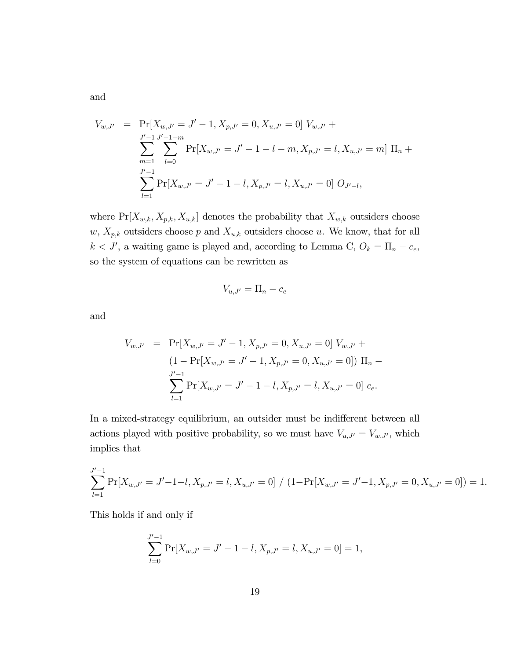$$
V_{w,J'} = \Pr[X_{w,J'} = J' - 1, X_{p,J'} = 0, X_{u,J'} = 0] V_{w,J'} +
$$
  

$$
\sum_{m=1}^{J'-1} \sum_{l=0}^{J'-1-m} \Pr[X_{w,J'} = J' - 1 - l - m, X_{p,J'} = l, X_{u,J'} = m] \Pi_n +
$$
  

$$
\sum_{l=1}^{J'-1} \Pr[X_{w,J'} = J' - 1 - l, X_{p,J'} = l, X_{u,J'} = 0] O_{J'-l},
$$

where  $Pr[X_{w,k}, X_{p,k}, X_{u,k}]$  denotes the probability that  $X_{w,k}$  outsiders choose  $w, X_{p,k}$  outsiders choose p and  $X_{u,k}$  outsiders choose u. We know, that for all  $k < J'$ , a waiting game is played and, according to Lemma C,  $O_k = \Pi_n - c_e$ , so the system of equations can be rewritten as

$$
V_{u,J'} = \Pi_n - c_e
$$

and

$$
V_{w,J'} = \Pr[X_{w,J'} = J' - 1, X_{p,J'} = 0, X_{u,J'} = 0] V_{w,J'} +
$$
  
(1 -  $\Pr[X_{w,J'} = J' - 1, X_{p,J'} = 0, X_{u,J'} = 0]) \Pi_n -$   

$$
\sum_{l=1}^{J'-1} \Pr[X_{w,J'} = J' - 1 - l, X_{p,J'} = l, X_{u,J'} = 0] c_e.
$$

In a mixed-strategy equilibrium, an outsider must be indifferent between all actions played with positive probability, so we must have  $V_{u,J'} = V_{w,J'}$ , which implies that

$$
\sum_{l=1}^{J'-1} \Pr[X_{w,J'} = J'-1-l, X_{p,J'} = l, X_{u,J'} = 0] / (1 - \Pr[X_{w,J'} = J'-1, X_{p,J'} = 0, X_{u,J'} = 0]) = 1.
$$

This holds if and only if

$$
\sum_{l=0}^{J'-1} \Pr[X_{w,J'} = J'-1-l, X_{p,J'} = l, X_{u,J'} = 0] = 1,
$$

and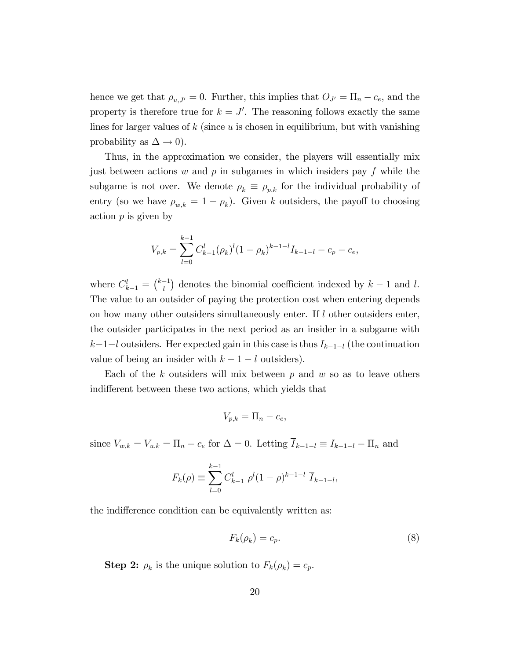hence we get that  $\rho_{u,J'}=0$ . Further, this implies that  $O_{J'}=\Pi_n - c_e$ , and the property is therefore true for  $k = J'$ . The reasoning follows exactly the same lines for larger values of  $k$  (since  $u$  is chosen in equilibrium, but with vanishing probability as  $\Delta \to 0$ ).

Thus, in the approximation we consider, the players will essentially mix just between actions w and  $p$  in subgames in which insiders pay  $f$  while the subgame is not over. We denote  $\rho_k \equiv \rho_{p,k}$  for the individual probability of entry (so we have  $\rho_{w,k} = 1 - \rho_k$ ). Given k outsiders, the payoff to choosing action  $p$  is given by

$$
V_{p,k} = \sum_{l=0}^{k-1} C_{k-1}^l (\rho_k)^l (1 - \rho_k)^{k-1-l} I_{k-1-l} - c_p - c_e,
$$

where  $C_{k-1}^l = \binom{k-1}{l}$  denotes the binomial coefficient indexed by  $k-1$  and l. The value to an outsider of paying the protection cost when entering depends on how many other outsiders simultaneously enter. If  $l$  other outsiders enter, the outsider participates in the next period as an insider in a subgame with  $k-1-l$  outsiders. Her expected gain in this case is thus  $I_{k-1-l}$  (the continuation value of being an insider with  $k - 1 - l$  outsiders).

Each of the  $k$  outsiders will mix between  $p$  and  $w$  so as to leave others indifferent between these two actions, which yields that

$$
V_{p,k} = \Pi_n - c_e,
$$

since  $V_{w,k} = V_{u,k} = \Pi_n - c_e$  for  $\Delta = 0$ . Letting  $\overline{I}_{k-1-l} \equiv I_{k-1-l} - \Pi_n$  and

$$
F_k(\rho) \equiv \sum_{l=0}^{k-1} C_{k-1}^l \rho^l (1-\rho)^{k-1-l} \overline{I}_{k-1-l},
$$

the indifference condition can be equivalently written as:

$$
F_k(\rho_k) = c_p. \tag{8}
$$

**Step 2:**  $\rho_k$  is the unique solution to  $F_k(\rho_k) = c_p$ .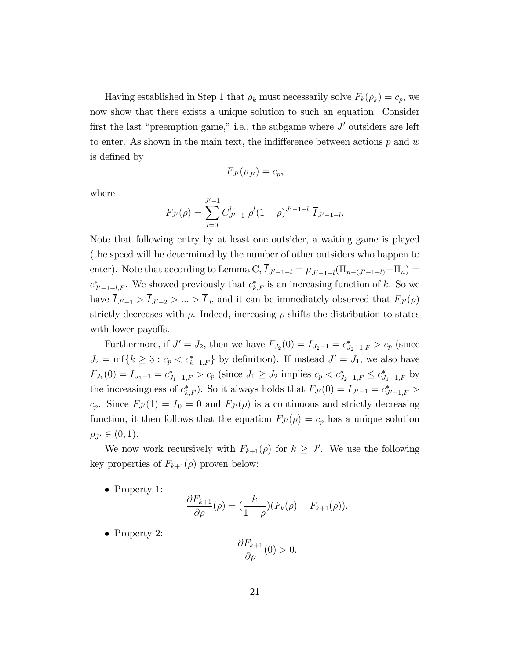Having established in Step 1 that  $\rho_k$  must necessarily solve  $F_k(\rho_k) = c_p$ , we now show that there exists a unique solution to such an equation. Consider first the last "preemption game," i.e., the subgame where  $J'$  outsiders are left to enter. As shown in the main text, the indifference between actions  $p$  and  $w$ is defined by

$$
F_{J'}(\rho_{J'})=c_p,
$$

where

$$
F_{J'}(\rho) = \sum_{l=0}^{J'-1} C_{J'-1}^l \rho^l (1-\rho)^{J'-1-l} \, \overline{I}_{J'-1-l}.
$$

Note that following entry by at least one outsider, a waiting game is played (the speed will be determined by the number of other outsiders who happen to enter). Note that according to Lemma C,  $I_{J'-1-l} = \mu_{J'-1-l}(\Pi_{n-(J'-1-l)} - \Pi_n) =$  $c_{J'-1-l,F}^*$ . We showed previously that  $c_{k,F}^*$  is an increasing function of k. So we have  $\overline{I}_{J'-1} > \overline{I}_{J'-2} > ... > \overline{I}_0$ , and it can be immediately observed that  $F_{J'}(\rho)$ strictly decreases with  $\rho$ . Indeed, increasing  $\rho$  shifts the distribution to states with lower payoffs.

Furthermore, if  $J' = J_2$ , then we have  $F_{J_2}(0) = I_{J_2-1} = c_{J_2-1,F}^* > c_p$  (since  $J_2 = \inf\{k \geq 3 : c_p < c_{k-1,F}^*\}$  by definition). If instead  $J' = J_1$ , we also have  $F_{J_1}(0) = I_{J_1-1} = c_{J_1-1,F}^* > c_p$  (since  $J_1 \ge J_2$  implies  $c_p < c_{J_2-1,F}^* \le c_{J_1-1,F}^*$  by the increasingness of  $c^*_{k,F}$ ). So it always holds that  $F_{J'}(0) = I_{J'-1} = c^*_{J'-1,F} >$  $c_p$ . Since  $F_{J}(1) = \overline{I}_0 = 0$  and  $F_{J}(\rho)$  is a continuous and strictly decreasing function, it then follows that the equation  $F_{J}(\rho) = c_p$  has a unique solution  $\rho_{J'} \in (0, 1).$ 

We now work recursively with  $F_{k+1}(\rho)$  for  $k \geq J'$ . We use the following key properties of  $F_{k+1}(\rho)$  proven below:

• Property 1:

$$
\frac{\partial F_{k+1}}{\partial \rho}(\rho) = \left(\frac{k}{1-\rho}\right)(F_k(\rho) - F_{k+1}(\rho)).
$$

• Property 2:

$$
\frac{\partial F_{k+1}}{\partial \rho}(0) > 0.
$$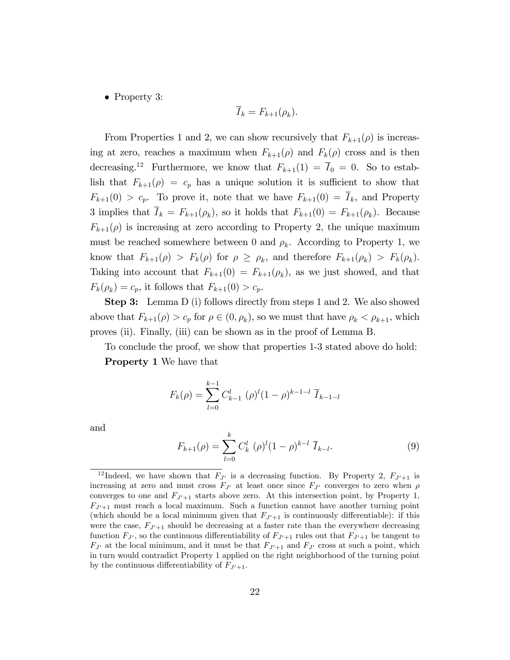• Property 3:

$$
\overline{I}_k = F_{k+1}(\rho_k).
$$

From Properties 1 and 2, we can show recursively that  $F_{k+1}(\rho)$  is increasing at zero, reaches a maximum when  $F_{k+1}(\rho)$  and  $F_k(\rho)$  cross and is then decreasing.<sup>12</sup> Furthermore, we know that  $F_{k+1}(1) = \overline{I}_0 = 0$ . So to establish that  $F_{k+1}(\rho) = c_p$  has a unique solution it is sufficient to show that  $F_{k+1}(0) > c_p$ . To prove it, note that we have  $F_{k+1}(0) = \overline{I}_k$ , and Property 3 implies that  $I_k = F_{k+1}(\rho_k)$ , so it holds that  $F_{k+1}(0) = F_{k+1}(\rho_k)$ . Because  $F_{k+1}(\rho)$  is increasing at zero according to Property 2, the unique maximum must be reached somewhere between 0 and  $\rho_k$ . According to Property 1, we know that  $F_{k+1}(\rho) > F_k(\rho)$  for  $\rho \ge \rho_k$ , and therefore  $F_{k+1}(\rho_k) > F_k(\rho_k)$ . Taking into account that  $F_{k+1}(0) = F_{k+1}(\rho_k)$ , as we just showed, and that  $F_k(\rho_k) = c_p$ , it follows that  $F_{k+1}(0) > c_p$ .

Step 3: Lemma D (i) follows directly from steps 1 and 2. We also showed above that  $F_{k+1}(\rho) > c_p$  for  $\rho \in (0, \rho_k)$ , so we must that have  $\rho_k < \rho_{k+1}$ , which proves (ii). Finally, (iii) can be shown as in the proof of Lemma B.

To conclude the proof, we show that properties 1-3 stated above do hold: Property 1 We have that

$$
F_k(\rho) = \sum_{l=0}^{k-1} C_{k-1}^l (\rho)^l (1-\rho)^{k-1-l} \overline{I}_{k-1-l}
$$

and

$$
F_{k+1}(\rho) = \sum_{l=0}^{k} C_k^l \; (\rho)^l (1-\rho)^{k-l} \; \overline{I}_{k-l}.
$$
 (9)

<sup>&</sup>lt;sup>12</sup> Indeed, we have shown that  $F_{J'}$  is a decreasing function. By Property 2,  $F_{J'+1}$  is increasing at zero and must cross  $F_{J'}$  at least once since  $F_{J'}$  converges to zero when  $\rho$ converges to one and  $F_{J'+1}$  starts above zero. At this intersection point, by Property 1,  $F_{J'+1}$  must reach a local maximum. Such a function cannot have another turning point (which should be a local minimum given that  $F_{J'+1}$  is continuously differentiable): if this were the case,  $F_{J'+1}$  should be decreasing at a faster rate than the everywhere decreasing function  $F_{J'}$ , so the continuous differentiability of  $F_{J'+1}$  rules out that  $F_{J'+1}$  be tangent to  $F_{J'}$  at the local minimum, and it must be that  $F_{J'+1}$  and  $F_{J'}$  cross at such a point, which in turn would contradict Property 1 applied on the right neighborhood of the turning point by the continuous differentiability of  $F_{J'+1}$ .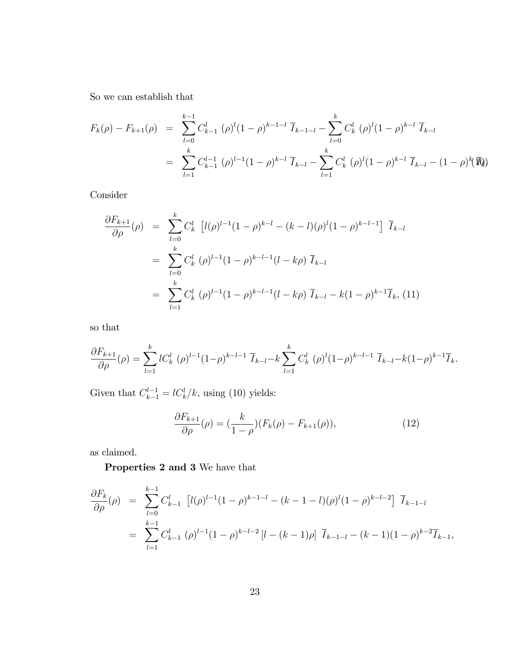So we can establish that

$$
F_k(\rho) - F_{k+1}(\rho) = \sum_{l=0}^{k-1} C_{k-1}^l (\rho)^l (1-\rho)^{k-1-l} \overline{I}_{k-1-l} - \sum_{l=0}^k C_k^l (\rho)^l (1-\rho)^{k-l} \overline{I}_{k-l}
$$
  

$$
= \sum_{l=1}^k C_{k-1}^{l-1} (\rho)^{l-1} (1-\rho)^{k-l} \overline{I}_{k-l} - \sum_{l=1}^k C_k^l (\rho)^l (1-\rho)^{k-l} \overline{I}_{k-l} - (1-\rho)^k (\overline{I}_{k})
$$

Consider

$$
\frac{\partial F_{k+1}}{\partial \rho}(\rho) = \sum_{l=0}^{k} C_k^l \left[ l(\rho)^{l-1} (1-\rho)^{k-l} - (k-l)(\rho)^l (1-\rho)^{k-l-1} \right] \overline{I}_{k-l}
$$
\n
$$
= \sum_{l=0}^{k} C_k^l (\rho)^{l-1} (1-\rho)^{k-l-1} (l-k\rho) \overline{I}_{k-l}
$$
\n
$$
= \sum_{l=1}^{k} C_k^l (\rho)^{l-1} (1-\rho)^{k-l-1} (l-k\rho) \overline{I}_{k-l} - k(1-\rho)^{k-1} \overline{I}_k, (11)
$$

so that

$$
\frac{\partial F_{k+1}}{\partial \rho}(\rho) = \sum_{l=1}^k l C_k^l \left( \rho \right)^{l-1} (1-\rho)^{k-l-1} \, \overline{I}_{k-l} - k \sum_{l=1}^k C_k^l \left( \rho \right)^l (1-\rho)^{k-l-1} \, \overline{I}_{k-l} - k (1-\rho)^{k-1} \overline{I}_k.
$$

Given that  $C_{k-1}^{l-1} = lC_k^l/k$ , using (10) yields:

$$
\frac{\partial F_{k+1}}{\partial \rho}(\rho) = \left(\frac{k}{1-\rho}\right)(F_k(\rho) - F_{k+1}(\rho)),\tag{12}
$$

as claimed.

Properties 2 and 3 We have that

$$
\frac{\partial F_k}{\partial \rho}(\rho) = \sum_{l=0}^{k-1} C_{k-1}^l \left[ l(\rho)^{l-1} (1-\rho)^{k-1-l} - (k-1-l)(\rho)^l (1-\rho)^{k-l-2} \right] \overline{I}_{k-1-l}
$$
  
= 
$$
\sum_{l=1}^{k-1} C_{k-1}^l (\rho)^{l-1} (1-\rho)^{k-l-2} \left[ l - (k-1)\rho \right] \overline{I}_{k-1-l} - (k-1)(1-\rho)^{k-2} \overline{I}_{k-1},
$$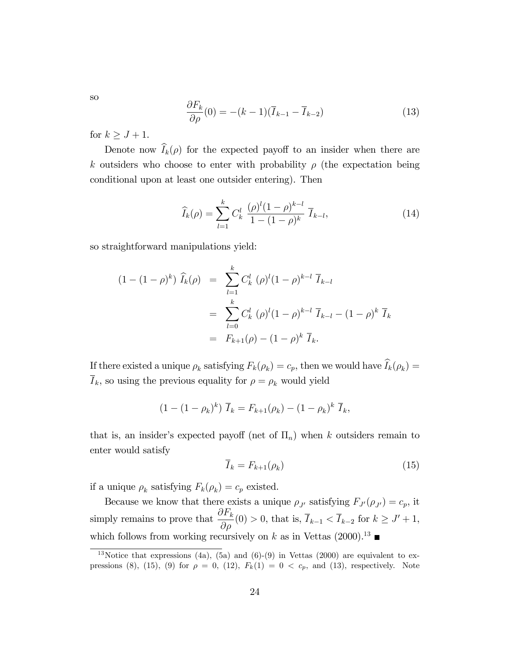so

$$
\frac{\partial F_k}{\partial \rho}(0) = -(k-1)(\overline{I}_{k-1} - \overline{I}_{k-2})
$$
\n(13)

for  $k \geq J + 1$ .

Denote now  $\widehat{I}_k(\rho)$  for the expected payoff to an insider when there are k outsiders who choose to enter with probability  $\rho$  (the expectation being conditional upon at least one outsider entering). Then

$$
\widehat{I}_k(\rho) = \sum_{l=1}^k C_k^l \ \frac{(\rho)^l (1-\rho)^{k-l}}{1-(1-\rho)^k} \ \overline{I}_{k-l},\tag{14}
$$

so straightforward manipulations yield:

$$
(1 - (1 - \rho)^k) \widehat{I}_k(\rho) = \sum_{l=1}^k C_k^l (\rho)^l (1 - \rho)^{k-l} \overline{I}_{k-l}
$$
  
= 
$$
\sum_{l=0}^k C_k^l (\rho)^l (1 - \rho)^{k-l} \overline{I}_{k-l} - (1 - \rho)^k \overline{I}_k
$$
  
= 
$$
F_{k+1}(\rho) - (1 - \rho)^k \overline{I}_k.
$$

If there existed a unique  $\rho_k$  satisfying  $F_k(\rho_k) = c_p$ , then we would have  $I_k(\rho_k) =$  $\overline{I}_k$ , so using the previous equality for  $\rho = \rho_k$  would yield

$$
(1 - (1 - \rho_k)^k) \overline{I}_k = F_{k+1}(\rho_k) - (1 - \rho_k)^k \overline{I}_k,
$$

that is, an insider's expected payoff (net of  $\Pi_n$ ) when k outsiders remain to enter would satisfy

$$
\overline{I}_k = F_{k+1}(\rho_k) \tag{15}
$$

if a unique  $\rho_k$  satisfying  $F_k(\rho_k) = c_p$  existed.

Because we know that there exists a unique  $\rho_{J'}$  satisfying  $F_{J'}(\rho_{J'}) = c_p$ , it simply remains to prove that  $\frac{\partial F_k}{\partial x}$  $\frac{d^{2}k}{d\rho}(0) > 0$ , that is,  $I_{k-1} < I_{k-2}$  for  $k \geq J' + 1$ , which follows from working recursively on k as in Vettas  $(2000)^{13}$ 

<sup>&</sup>lt;sup>13</sup>Notice that expressions (4a), (5a) and (6)-(9) in Vettas (2000) are equivalent to expressions (8), (15), (9) for  $\rho = 0$ , (12),  $F_k(1) = 0 < c_p$ , and (13), respectively. Note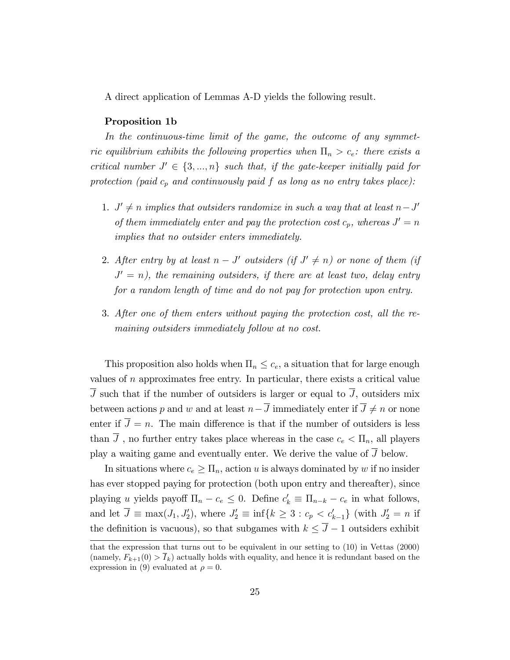A direct application of Lemmas A-D yields the following result.

## Proposition 1b

In the continuous-time limit of the game, the outcome of any symmetric equilibrium exhibits the following properties when  $\Pi_n > c_e$ : there exists a critical number  $J' \in \{3, ..., n\}$  such that, if the gate-keeper initially paid for protection (paid  $c_p$  and continuously paid f as long as no entry takes place):

- 1.  $J' \neq n$  implies that outsiders randomize in such a way that at least  $n-J'$ of them immediately enter and pay the protection cost  $c_p$ , whereas  $J' = n$ implies that no outsider enters immediately.
- 2. After entry by at least  $n-J'$  outsiders (if  $J' \neq n$ ) or none of them (if  $J' = n$ ), the remaining outsiders, if there are at least two, delay entry for a random length of time and do not pay for protection upon entry.
- 3. After one of them enters without paying the protection cost, all the remaining outsiders immediately follow at no cost.

This proposition also holds when  $\Pi_n \leq c_e$ , a situation that for large enough values of  $n$  approximates free entry. In particular, there exists a critical value  $\overline{J}$  such that if the number of outsiders is larger or equal to  $\overline{J}$ , outsiders mix between actions p and w and at least  $n-\overline{J}$  immediately enter if  $\overline{J} \neq n$  or none enter if  $\overline{J} = n$ . The main difference is that if the number of outsiders is less than  $\overline{J}$ , no further entry takes place whereas in the case  $c_e < \Pi_n$ , all players play a waiting game and eventually enter. We derive the value of  $\overline{J}$  below.

In situations where  $c_e \geq \prod_n$ , action u is always dominated by w if no insider has ever stopped paying for protection (both upon entry and thereafter), since playing u yields payoff  $\Pi_n - c_e \leq 0$ . Define  $c'_k \equiv \Pi_{n-k} - c_e$  in what follows, and let  $J \equiv \max(J_1, J'_2)$ , where  $J'_2 \equiv \inf\{k \geq 3 : c_p < c'_{k-1}\}\$  (with  $J'_2 = n$  if the definition is vacuous), so that subgames with  $k \leq \overline{J} - 1$  outsiders exhibit

that the expression that turns out to be equivalent in our setting to (10) in Vettas (2000) (namely,  $F_{k+1}(0) > \bar{I}_k$ ) actually holds with equality, and hence it is redundant based on the expression in (9) evaluated at  $\rho = 0$ .